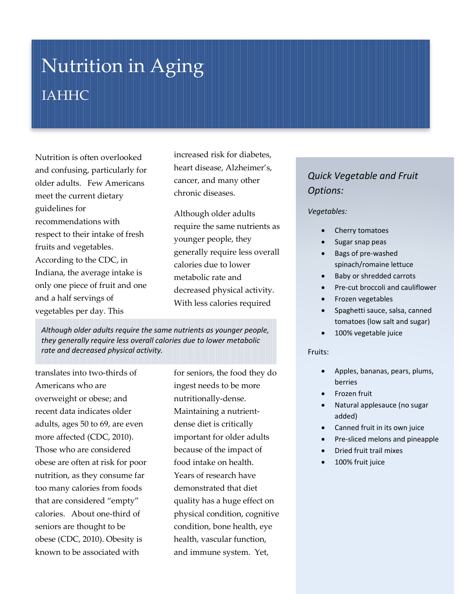# Nutrition in Aging IAHHC

Nutrition is often overlooked and confusing, particularly for older adults. Few Americans meet the current dietary guidelines for recommendations with respect to their intake of fresh fruits and vegetables. According to the CDC, in Indiana, the average intake is only one piece of fruit and one and a half servings of vegetables per day. This

increased risk for diabetes, heart disease, Alzheimer's, cancer, and many other chronic diseases.

Although older adults require the same nutrients as younger people, they generally require less overall calories due to lower metabolic rate and decreased physical activity. With less calories required

*Although older adults require the same nutrients as younger people, they generally require less overall calories due to lower metabolic rate and decreased physical activity.*

translates into two-thirds of Americans who are overweight or obese; and recent data indicates older adults, ages 50 to 69, are even more affected (CDC, 2010). Those who are considered obese are often at risk for poor nutrition, as they consume far too many calories from foods that are considered "empty" calories. About one-third of seniors are thought to be obese (CDC, 2010). Obesity is known to be associated with

for seniors, the food they do ingest needs to be more nutritionally-dense. Maintaining a nutrientdense diet is critically important for older adults because of the impact of food intake on health. Years of research have demonstrated that diet quality has a huge effect on physical condition, cognitive condition, bone health, eye health, vascular function, and immune system. Yet,

## *Quick Vegetable and Fruit Options:*

#### *Vegetables:*

- Cherry tomatoes
- Sugar snap peas
- Bags of pre-washed spinach/romaine lettuce
- Baby or shredded carrots
- Pre-cut broccoli and cauliflower
- Frozen vegetables
- Spaghetti sauce, salsa, canned tomatoes (low salt and sugar)
- 100% vegetable juice

#### Fruits:

- Apples, bananas, pears, plums, berries
- Frozen fruit
- Natural applesauce (no sugar added)
- Canned fruit in its own juice
- Pre-sliced melons and pineapple
- Dried fruit trail mixes
- 100% fruit juice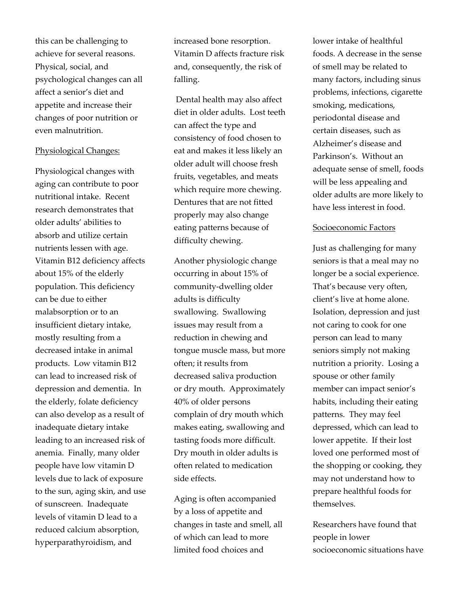this can be challenging to achieve for several reasons. Physical, social, and psychological changes can all affect a senior's diet and appetite and increase their changes of poor nutrition or even malnutrition.

#### Physiological Changes:

Physiological changes with aging can contribute to poor nutritional intake. Recent research demonstrates that older adults' abilities to absorb and utilize certain nutrients lessen with age. Vitamin B12 deficiency affects about 15% of the elderly population. This deficiency can be due to either malabsorption or to an insufficient dietary intake, mostly resulting from a decreased intake in animal products. Low vitamin B12 can lead to increased risk of depression and dementia. In the elderly, folate deficiency can also develop as a result of inadequate dietary intake leading to an increased risk of anemia. Finally, many older people have low vitamin D levels due to lack of exposure to the sun, aging skin, and use of sunscreen. Inadequate levels of vitamin D lead to a reduced calcium absorption, hyperparathyroidism, and

increased bone resorption. Vitamin D affects fracture risk and, consequently, the risk of falling.

Dental health may also affect diet in older adults. Lost teeth can affect the type and consistency of food chosen to eat and makes it less likely an older adult will choose fresh fruits, vegetables, and meats which require more chewing. Dentures that are not fitted properly may also change eating patterns because of difficulty chewing.

Another physiologic change occurring in about 15% of community-dwelling older adults is difficulty swallowing. Swallowing issues may result from a reduction in chewing and tongue muscle mass, but more often; it results from decreased saliva production or dry mouth. Approximately 40% of older persons complain of dry mouth which makes eating, swallowing and tasting foods more difficult. Dry mouth in older adults is often related to medication side effects.

Aging is often accompanied by a loss of appetite and changes in taste and smell, all of which can lead to more limited food choices and

lower intake of healthful foods. A decrease in the sense of smell may be related to many factors, including sinus problems, infections, cigarette smoking, medications, periodontal disease and certain diseases, such as Alzheimer's disease and Parkinson's. Without an adequate sense of smell, foods will be less appealing and older adults are more likely to have less interest in food.

#### Socioeconomic Factors

Just as challenging for many seniors is that a meal may no longer be a social experience. That's because very often, client's live at home alone. Isolation, depression and just not caring to cook for one person can lead to many seniors simply not making nutrition a priority. Losing a spouse or other family member can impact senior's habits, including their eating patterns. They may feel depressed, which can lead to lower appetite. If their lost loved one performed most of the shopping or cooking, they may not understand how to prepare healthful foods for themselves.

Researchers have found that people in lower socioeconomic situations have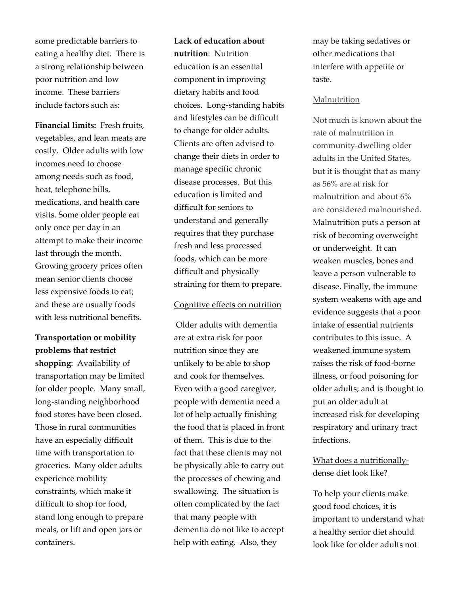some predictable barriers to eating a healthy diet. There is a strong relationship between poor nutrition and low income. These barriers include factors such as:

**Financial limits:** Fresh fruits, vegetables, and lean meats are costly. Older adults with low incomes need to choose among needs such as food, heat, telephone bills, medications, and health care visits. Some older people eat only once per day in an attempt to make their income last through the month. Growing grocery prices often mean senior clients choose less expensive foods to eat; and these are usually foods with less nutritional benefits.

## **Transportation or mobility problems that restrict**

**shopping**: Availability of transportation may be limited for older people. Many small, long-standing neighborhood food stores have been closed. Those in rural communities have an especially difficult time with transportation to groceries. Many older adults experience mobility constraints, which make it difficult to shop for food, stand long enough to prepare meals, or lift and open jars or containers.

**Lack of education about nutrition**: Nutrition education is an essential component in improving dietary habits and food choices. Long-standing habits and lifestyles can be difficult to change for older adults. Clients are often advised to change their diets in order to manage specific chronic disease processes. But this education is limited and difficult for seniors to understand and generally requires that they purchase fresh and less processed foods, which can be more difficult and physically straining for them to prepare.

#### Cognitive effects on nutrition

Older adults with dementia are at extra risk for poor nutrition since they are unlikely to be able to shop and cook for themselves. Even with a good caregiver, people with dementia need a lot of help actually finishing the food that is placed in front of them. This is due to the fact that these clients may not be physically able to carry out the processes of chewing and swallowing. The situation is often complicated by the fact that many people with dementia do not like to accept help with eating. Also, they

may be taking sedatives or other medications that interfere with appetite or taste.

#### Malnutrition

Not much is known about the rate of malnutrition in community-dwelling older adults in the United States, but it is thought that as many as 56% are at risk for malnutrition and about 6% are considered malnourished. Malnutrition puts a person at risk of becoming overweight or underweight. It can weaken muscles, bones and leave a person vulnerable to disease. Finally, the immune system weakens with age and evidence suggests that a poor intake of essential nutrients contributes to this issue. A weakened immune system raises the risk of food-borne illness, or food poisoning for older adults; and is thought to put an older adult at increased risk for developing respiratory and urinary tract infections.

## What does a nutritionallydense diet look like?

To help your clients make good food choices, it is important to understand what a healthy senior diet should look like for older adults not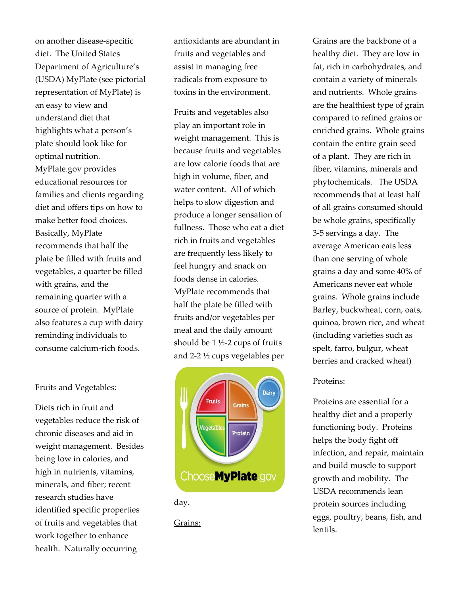on another disease-specific diet. The United States Department of Agriculture's (USDA) MyPlate (see pictorial representation of MyPlate) is an easy to view and understand diet that highlights what a person's plate should look like for optimal nutrition. MyPlate.gov provides educational resources for families and clients regarding diet and offers tips on how to make better food choices. Basically, MyPlate recommends that half the plate be filled with fruits and vegetables, a quarter be filled with grains, and the remaining quarter with a source of protein. MyPlate also features a cup with dairy reminding individuals to consume calcium-rich foods.

#### Fruits and Vegetables:

Diets rich in fruit and vegetables reduce the risk of chronic diseases and aid in weight management. Besides being low in calories, and high in nutrients, vitamins, minerals, and fiber; recent research studies have identified specific properties of fruits and vegetables that work together to enhance health. Naturally occurring

antioxidants are abundant in fruits and vegetables and assist in managing free radicals from exposure to toxins in the environment.

Fruits and vegetables also play an important role in weight management. This is because fruits and vegetables are low calorie foods that are high in volume, fiber, and water content. All of which helps to slow digestion and produce a longer sensation of fullness. Those who eat a diet rich in fruits and vegetables are frequently less likely to feel hungry and snack on foods dense in calories. MyPlate recommends that half the plate be filled with fruits and/or vegetables per meal and the daily amount should be 1 ½-2 cups of fruits and 2-2 ½ cups vegetables per



day.

Grains:

Grains are the backbone of a healthy diet. They are low in fat, rich in carbohydrates, and contain a variety of minerals and nutrients. Whole grains are the healthiest type of grain compared to refined grains or enriched grains. Whole grains contain the entire grain seed of a plant. They are rich in fiber, vitamins, minerals and phytochemicals. The USDA recommends that at least half of all grains consumed should be whole grains, specifically 3-5 servings a day. The average American eats less than one serving of whole grains a day and some 40% of Americans never eat whole grains. Whole grains include Barley, buckwheat, corn, oats, quinoa, brown rice, and wheat (including varieties such as spelt, farro, bulgur, wheat berries and cracked wheat)

#### Proteins:

Proteins are essential for a healthy diet and a properly functioning body. Proteins helps the body fight off infection, and repair, maintain and build muscle to support growth and mobility. The USDA recommends lean protein sources including eggs, poultry, beans, fish, and lentils.